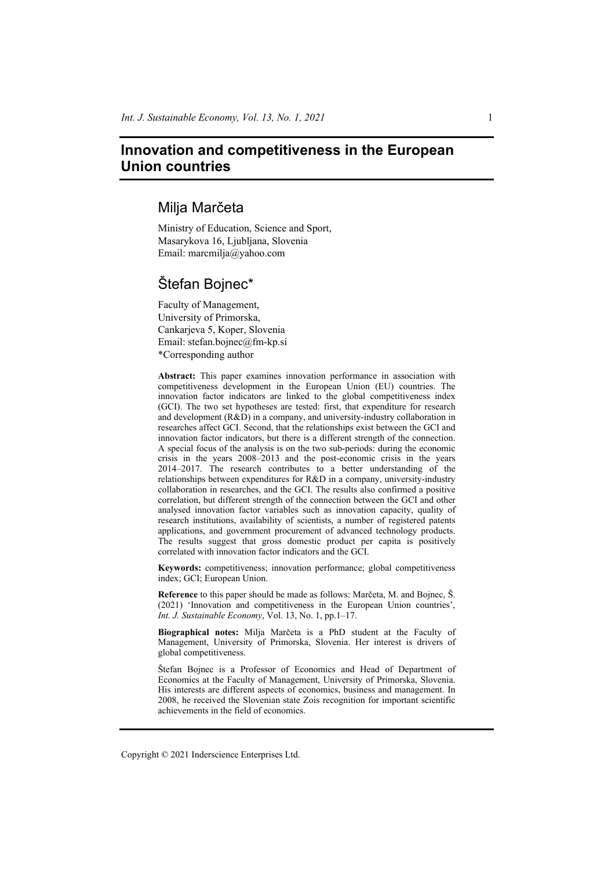# **Innovation and competitiveness in the European Union countries**

# Milja Marčeta

Ministry of Education, Science and Sport, Masarykova 16, Ljubljana, Slovenia Email: marcmilja@yahoo.com

# Štefan Bojnec\*

Faculty of Management, University of Primorska, Cankarjeva 5, Koper, Slovenia Email: stefan.bojnec@fm-kp.si \*Corresponding author

**Abstract:** This paper examines innovation performance in association with competitiveness development in the European Union (EU) countries. The innovation factor indicators are linked to the global competitiveness index (GCI). The two set hypotheses are tested: first, that expenditure for research and development (R&D) in a company, and university-industry collaboration in researches affect GCI. Second, that the relationships exist between the GCI and innovation factor indicators, but there is a different strength of the connection. A special focus of the analysis is on the two sub-periods: during the economic crisis in the years 2008–2013 and the post-economic crisis in the years 2014–2017. The research contributes to a better understanding of the relationships between expenditures for R&D in a company, university-industry collaboration in researches, and the GCI. The results also confirmed a positive correlation, but different strength of the connection between the GCI and other analysed innovation factor variables such as innovation capacity, quality of research institutions, availability of scientists, a number of registered patents applications, and government procurement of advanced technology products. The results suggest that gross domestic product per capita is positively correlated with innovation factor indicators and the GCI.

**Keywords:** competitiveness; innovation performance; global competitiveness index; GCI; European Union.

**Reference** to this paper should be made as follows: Marčeta, M. and Bojnec, Š. (2021) 'Innovation and competitiveness in the European Union countries', *Int. J. Sustainable Economy*, Vol. 13, No. 1, pp.1–17.

**Biographical notes:** Milja Marčeta is a PhD student at the Faculty of Management, University of Primorska, Slovenia. Her interest is drivers of global competitiveness.

Štefan Bojnec is a Professor of Economics and Head of Department of Economics at the Faculty of Management, University of Primorska, Slovenia. His interests are different aspects of economics, business and management. In 2008, he received the Slovenian state Zois recognition for important scientific achievements in the field of economics.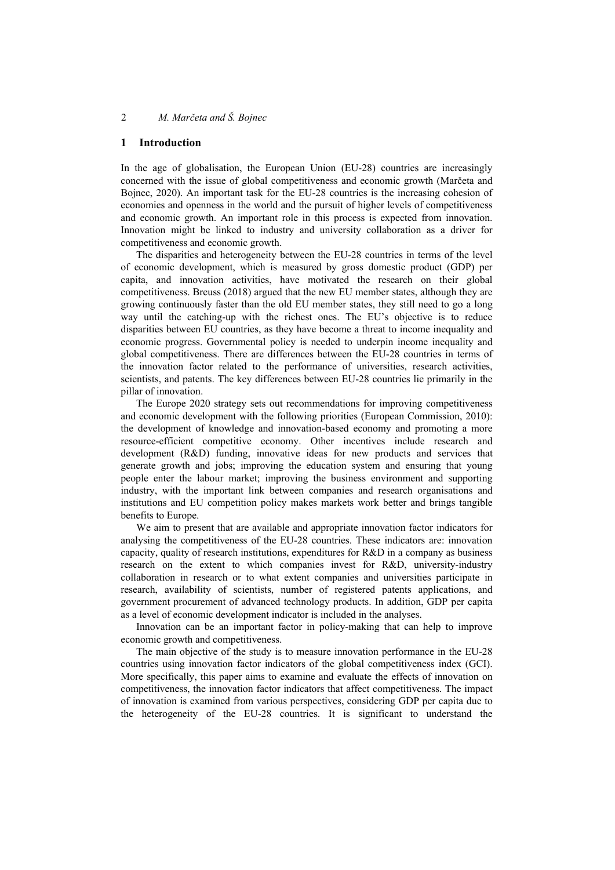#### **1 Introduction**

In the age of globalisation, the European Union (EU-28) countries are increasingly concerned with the issue of global competitiveness and economic growth (Marčeta and Bojnec, 2020). An important task for the EU-28 countries is the increasing cohesion of economies and openness in the world and the pursuit of higher levels of competitiveness and economic growth. An important role in this process is expected from innovation. Innovation might be linked to industry and university collaboration as a driver for competitiveness and economic growth.

The disparities and heterogeneity between the EU-28 countries in terms of the level of economic development, which is measured by gross domestic product (GDP) per capita, and innovation activities, have motivated the research on their global competitiveness. Breuss (2018) argued that the new EU member states, although they are growing continuously faster than the old EU member states, they still need to go a long way until the catching-up with the richest ones. The EU's objective is to reduce disparities between EU countries, as they have become a threat to income inequality and economic progress. Governmental policy is needed to underpin income inequality and global competitiveness. There are differences between the EU-28 countries in terms of the innovation factor related to the performance of universities, research activities, scientists, and patents. The key differences between EU-28 countries lie primarily in the pillar of innovation.

The Europe 2020 strategy sets out recommendations for improving competitiveness and economic development with the following priorities (European Commission, 2010): the development of knowledge and innovation-based economy and promoting a more resource-efficient competitive economy. Other incentives include research and development (R&D) funding, innovative ideas for new products and services that generate growth and jobs; improving the education system and ensuring that young people enter the labour market; improving the business environment and supporting industry, with the important link between companies and research organisations and institutions and EU competition policy makes markets work better and brings tangible benefits to Europe.

We aim to present that are available and appropriate innovation factor indicators for analysing the competitiveness of the EU-28 countries. These indicators are: innovation capacity, quality of research institutions, expenditures for R&D in a company as business research on the extent to which companies invest for R&D, university-industry collaboration in research or to what extent companies and universities participate in research, availability of scientists, number of registered patents applications, and government procurement of advanced technology products. In addition, GDP per capita as a level of economic development indicator is included in the analyses.

Innovation can be an important factor in policy-making that can help to improve economic growth and competitiveness.

The main objective of the study is to measure innovation performance in the EU-28 countries using innovation factor indicators of the global competitiveness index (GCI). More specifically, this paper aims to examine and evaluate the effects of innovation on competitiveness, the innovation factor indicators that affect competitiveness. The impact of innovation is examined from various perspectives, considering GDP per capita due to the heterogeneity of the EU-28 countries. It is significant to understand the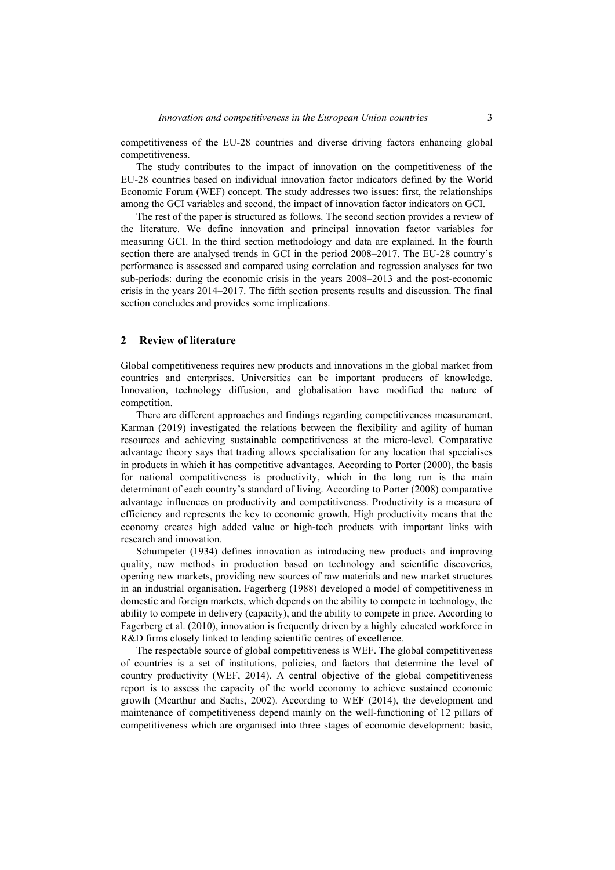competitiveness of the EU-28 countries and diverse driving factors enhancing global competitiveness.

The study contributes to the impact of innovation on the competitiveness of the EU-28 countries based on individual innovation factor indicators defined by the World Economic Forum (WEF) concept. The study addresses two issues: first, the relationships among the GCI variables and second, the impact of innovation factor indicators on GCI.

The rest of the paper is structured as follows. The second section provides a review of the literature. We define innovation and principal innovation factor variables for measuring GCI. In the third section methodology and data are explained. In the fourth section there are analysed trends in GCI in the period 2008–2017. The EU-28 country's performance is assessed and compared using correlation and regression analyses for two sub-periods: during the economic crisis in the years 2008–2013 and the post-economic crisis in the years 2014–2017. The fifth section presents results and discussion. The final section concludes and provides some implications.

#### **2 Review of literature**

Global competitiveness requires new products and innovations in the global market from countries and enterprises. Universities can be important producers of knowledge. Innovation, technology diffusion, and globalisation have modified the nature of competition.

There are different approaches and findings regarding competitiveness measurement. Karman (2019) investigated the relations between the flexibility and agility of human resources and achieving sustainable competitiveness at the micro-level. Comparative advantage theory says that trading allows specialisation for any location that specialises in products in which it has competitive advantages. According to Porter (2000), the basis for national competitiveness is productivity, which in the long run is the main determinant of each country's standard of living. According to Porter (2008) comparative advantage influences on productivity and competitiveness. Productivity is a measure of efficiency and represents the key to economic growth. High productivity means that the economy creates high added value or high-tech products with important links with research and innovation.

Schumpeter (1934) defines innovation as introducing new products and improving quality, new methods in production based on technology and scientific discoveries, opening new markets, providing new sources of raw materials and new market structures in an industrial organisation. Fagerberg (1988) developed a model of competitiveness in domestic and foreign markets, which depends on the ability to compete in technology, the ability to compete in delivery (capacity), and the ability to compete in price. According to Fagerberg et al. (2010), innovation is frequently driven by a highly educated workforce in R&D firms closely linked to leading scientific centres of excellence.

The respectable source of global competitiveness is WEF. The global competitiveness of countries is a set of institutions, policies, and factors that determine the level of country productivity (WEF, 2014). A central objective of the global competitiveness report is to assess the capacity of the world economy to achieve sustained economic growth (Mcarthur and Sachs, 2002). According to WEF (2014), the development and maintenance of competitiveness depend mainly on the well-functioning of 12 pillars of competitiveness which are organised into three stages of economic development: basic,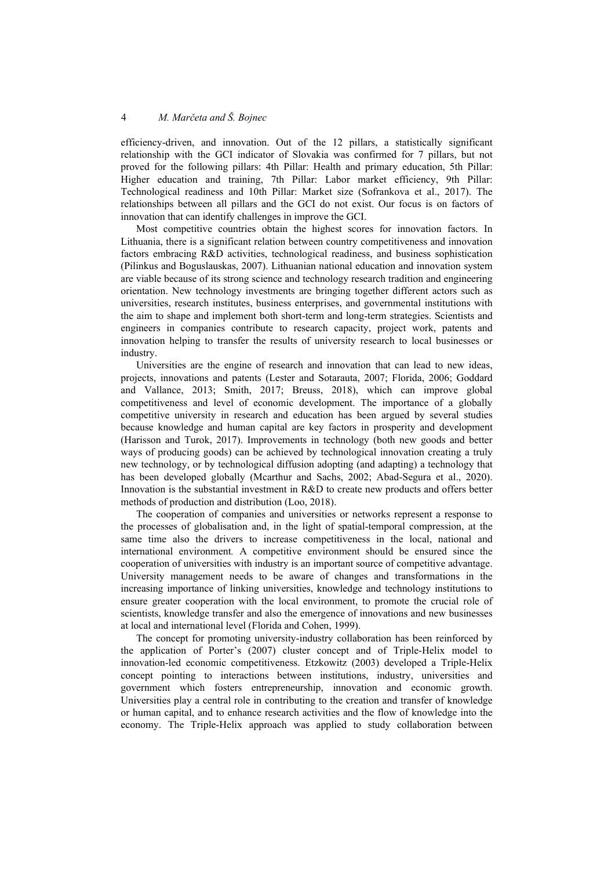efficiency-driven, and innovation. Out of the 12 pillars, a statistically significant relationship with the GCI indicator of Slovakia was confirmed for 7 pillars, but not proved for the following pillars: 4th Pillar: Health and primary education, 5th Pillar: Higher education and training, 7th Pillar: Labor market efficiency, 9th Pillar: Technological readiness and 10th Pillar: Market size (Sofrankova et al., 2017). The relationships between all pillars and the GCI do not exist. Our focus is on factors of innovation that can identify challenges in improve the GCI.

Most competitive countries obtain the highest scores for innovation factors. In Lithuania, there is a significant relation between country competitiveness and innovation factors embracing R&D activities, technological readiness, and business sophistication (Pilinkus and Boguslauskas, 2007). Lithuanian national education and innovation system are viable because of its strong science and technology research tradition and engineering orientation. New technology investments are bringing together different actors such as universities, research institutes, business enterprises, and governmental institutions with the aim to shape and implement both short-term and long-term strategies. Scientists and engineers in companies contribute to research capacity, project work, patents and innovation helping to transfer the results of university research to local businesses or industry.

Universities are the engine of research and innovation that can lead to new ideas, projects, innovations and patents (Lester and Sotarauta, 2007; Florida, 2006; Goddard and Vallance, 2013; Smith, 2017; Breuss, 2018), which can improve global competitiveness and level of economic development. The importance of a globally competitive university in research and education has been argued by several studies because knowledge and human capital are key factors in prosperity and development (Harisson and Turok, 2017). Improvements in technology (both new goods and better ways of producing goods) can be achieved by technological innovation creating a truly new technology, or by technological diffusion adopting (and adapting) a technology that has been developed globally (Mcarthur and Sachs, 2002; Abad-Segura et al., 2020). Innovation is the substantial investment in R&D to create new products and offers better methods of production and distribution (Loo, 2018).

The cooperation of companies and universities or networks represent a response to the processes of globalisation and, in the light of spatial-temporal compression, at the same time also the drivers to increase competitiveness in the local, national and international environment*.* A competitive environment should be ensured since the cooperation of universities with industry is an important source of competitive advantage. University management needs to be aware of changes and transformations in the increasing importance of linking universities, knowledge and technology institutions to ensure greater cooperation with the local environment, to promote the crucial role of scientists, knowledge transfer and also the emergence of innovations and new businesses at local and international level (Florida and Cohen, 1999).

The concept for promoting university-industry collaboration has been reinforced by the application of Porter's (2007) cluster concept and of Triple-Helix model to innovation-led economic competitiveness. Etzkowitz (2003) developed a Triple-Helix concept pointing to interactions between institutions, industry, universities and government which fosters entrepreneurship, innovation and economic growth. Universities play a central role in contributing to the creation and transfer of knowledge or human capital, and to enhance research activities and the flow of knowledge into the economy. The Triple-Helix approach was applied to study collaboration between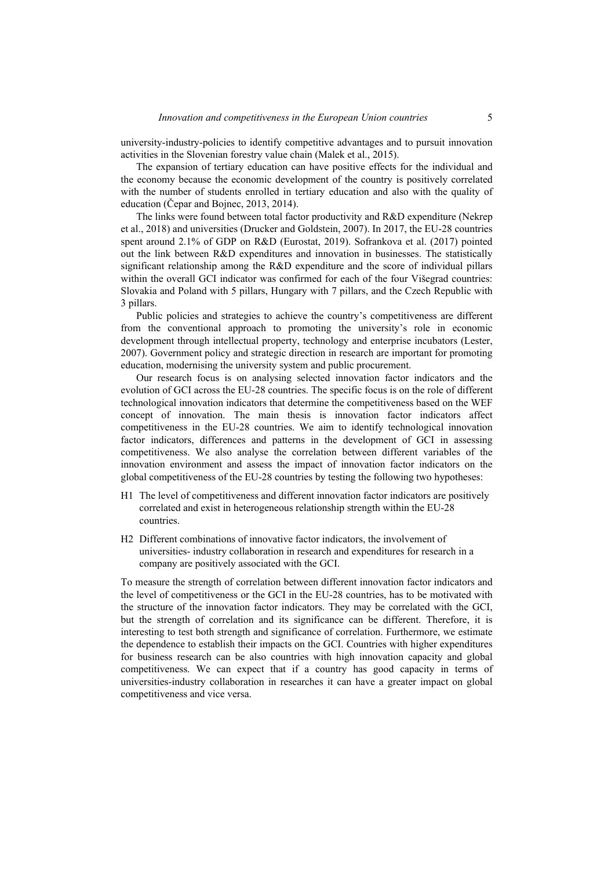university-industry-policies to identify competitive advantages and to pursuit innovation activities in the Slovenian forestry value chain (Malek et al., 2015).

The expansion of tertiary education can have positive effects for the individual and the economy because the economic development of the country is positively correlated with the number of students enrolled in tertiary education and also with the quality of education (Čepar and Bojnec, 2013, 2014).

The links were found between total factor productivity and R&D expenditure (Nekrep et al., 2018) and universities (Drucker and Goldstein, 2007). In 2017, the EU-28 countries spent around 2.1% of GDP on R&D (Eurostat, 2019). Sofrankova et al. (2017) pointed out the link between R&D expenditures and innovation in businesses. The statistically significant relationship among the R&D expenditure and the score of individual pillars within the overall GCI indicator was confirmed for each of the four Višegrad countries: Slovakia and Poland with 5 pillars, Hungary with 7 pillars, and the Czech Republic with 3 pillars.

Public policies and strategies to achieve the country's competitiveness are different from the conventional approach to promoting the university's role in economic development through intellectual property, technology and enterprise incubators (Lester, 2007). Government policy and strategic direction in research are important for promoting education, modernising the university system and public procurement.

Our research focus is on analysing selected innovation factor indicators and the evolution of GCI across the EU-28 countries. The specific focus is on the role of different technological innovation indicators that determine the competitiveness based on the WEF concept of innovation. The main thesis is innovation factor indicators affect competitiveness in the EU-28 countries. We aim to identify technological innovation factor indicators, differences and patterns in the development of GCI in assessing competitiveness. We also analyse the correlation between different variables of the innovation environment and assess the impact of innovation factor indicators on the global competitiveness of the EU-28 countries by testing the following two hypotheses:

- H1 The level of competitiveness and different innovation factor indicators are positively correlated and exist in heterogeneous relationship strength within the EU-28 countries.
- H2 Different combinations of innovative factor indicators, the involvement of universities- industry collaboration in research and expenditures for research in a company are positively associated with the GCI.

To measure the strength of correlation between different innovation factor indicators and the level of competitiveness or the GCI in the EU-28 countries, has to be motivated with the structure of the innovation factor indicators. They may be correlated with the GCI, but the strength of correlation and its significance can be different. Therefore, it is interesting to test both strength and significance of correlation. Furthermore, we estimate the dependence to establish their impacts on the GCI. Countries with higher expenditures for business research can be also countries with high innovation capacity and global competitiveness. We can expect that if a country has good capacity in terms of universities-industry collaboration in researches it can have a greater impact on global competitiveness and vice versa.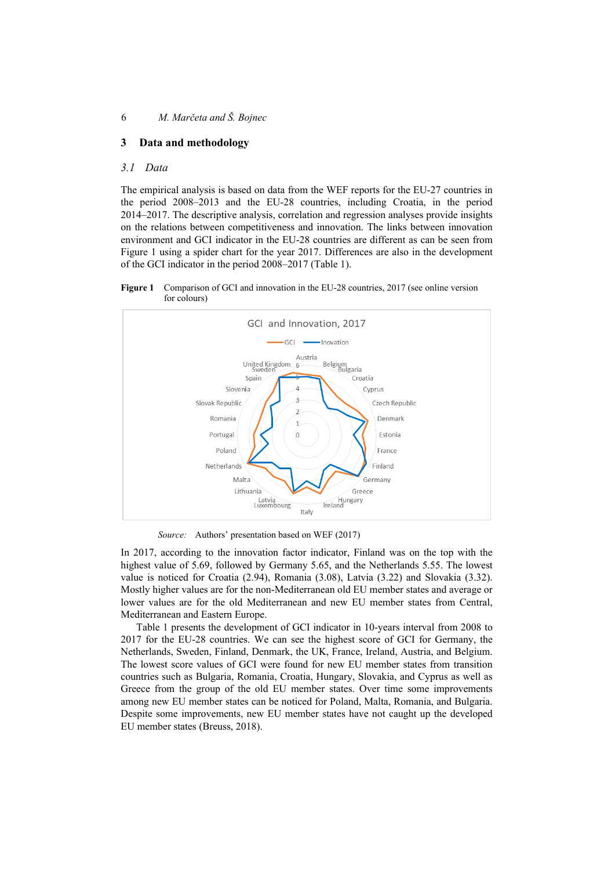## **3 Data and methodology**

## *3.1 Data*

The empirical analysis is based on data from the WEF reports for the EU-27 countries in the period 2008–2013 and the EU-28 countries, including Croatia, in the period 2014–2017. The descriptive analysis, correlation and regression analyses provide insights on the relations between competitiveness and innovation. The links between innovation environment and GCI indicator in the EU-28 countries are different as can be seen from Figure 1 using a spider chart for the year 2017. Differences are also in the development of the GCI indicator in the period 2008–2017 (Table 1).

**Figure 1** Comparison of GCI and innovation in the EU-28 countries, 2017 (see online version for colours)



*Source:* Authors' presentation based on WEF (2017)

In 2017, according to the innovation factor indicator, Finland was on the top with the highest value of 5.69, followed by Germany 5.65, and the Netherlands 5.55. The lowest value is noticed for Croatia (2.94), Romania (3.08), Latvia (3.22) and Slovakia (3.32). Mostly higher values are for the non-Mediterranean old EU member states and average or lower values are for the old Mediterranean and new EU member states from Central, Mediterranean and Eastern Europe.

Table 1 presents the development of GCI indicator in 10-years interval from 2008 to 2017 for the EU-28 countries. We can see the highest score of GCI for Germany, the Netherlands, Sweden, Finland, Denmark, the UK, France, Ireland, Austria, and Belgium. The lowest score values of GCI were found for new EU member states from transition countries such as Bulgaria, Romania, Croatia, Hungary, Slovakia, and Cyprus as well as Greece from the group of the old EU member states. Over time some improvements among new EU member states can be noticed for Poland, Malta, Romania, and Bulgaria. Despite some improvements, new EU member states have not caught up the developed EU member states (Breuss, 2018).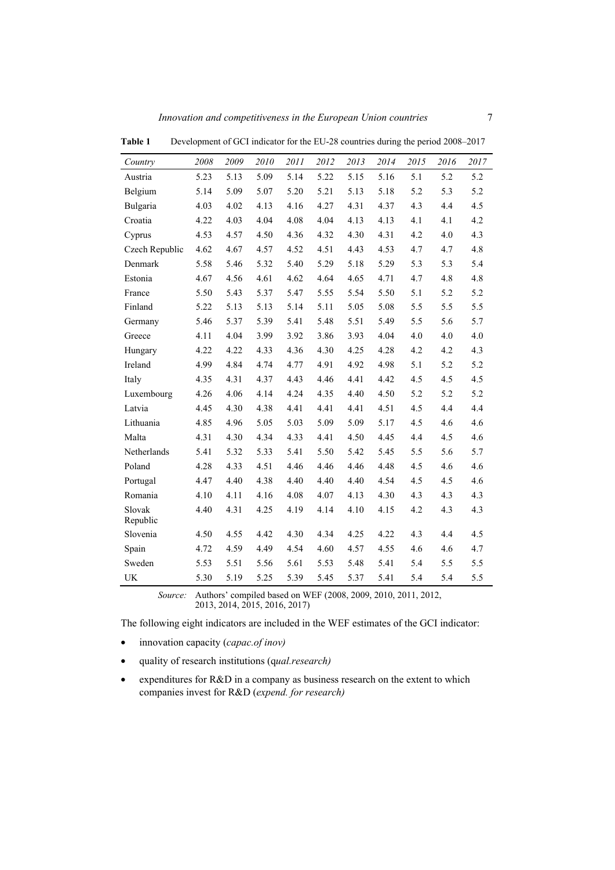| Country            | 2008 | 2009 | 2010 | 2011 | 2012 | 2013 | 2014 | 2015 | 2016 | 2017 |
|--------------------|------|------|------|------|------|------|------|------|------|------|
| Austria            | 5.23 | 5.13 | 5.09 | 5.14 | 5.22 | 5.15 | 5.16 | 5.1  | 5.2  | 5.2  |
| Belgium            | 5.14 | 5.09 | 5.07 | 5.20 | 5.21 | 5.13 | 5.18 | 5.2  | 5.3  | 5.2  |
| Bulgaria           | 4.03 | 4.02 | 4.13 | 4.16 | 4.27 | 4.31 | 4.37 | 4.3  | 4.4  | 4.5  |
| Croatia            | 4.22 | 4.03 | 4.04 | 4.08 | 4.04 | 4.13 | 4.13 | 4.1  | 4.1  | 4.2  |
| Cyprus             | 4.53 | 4.57 | 4.50 | 4.36 | 4.32 | 4.30 | 4.31 | 4.2  | 4.0  | 4.3  |
| Czech Republic     | 4.62 | 4.67 | 4.57 | 4.52 | 4.51 | 4.43 | 4.53 | 4.7  | 4.7  | 4.8  |
| Denmark            | 5.58 | 5.46 | 5.32 | 5.40 | 5.29 | 5.18 | 5.29 | 5.3  | 5.3  | 5.4  |
| Estonia            | 4.67 | 4.56 | 4.61 | 4.62 | 4.64 | 4.65 | 4.71 | 4.7  | 4.8  | 4.8  |
| France             | 5.50 | 5.43 | 5.37 | 5.47 | 5.55 | 5.54 | 5.50 | 5.1  | 5.2  | 5.2  |
| Finland            | 5.22 | 5.13 | 5.13 | 5.14 | 5.11 | 5.05 | 5.08 | 5.5  | 5.5  | 5.5  |
| Germany            | 5.46 | 5.37 | 5.39 | 5.41 | 5.48 | 5.51 | 5.49 | 5.5  | 5.6  | 5.7  |
| Greece             | 4.11 | 4.04 | 3.99 | 3.92 | 3.86 | 3.93 | 4.04 | 4.0  | 4.0  | 4.0  |
| Hungary            | 4.22 | 4.22 | 4.33 | 4.36 | 4.30 | 4.25 | 4.28 | 4.2  | 4.2  | 4.3  |
| Ireland            | 4.99 | 4.84 | 4.74 | 4.77 | 4.91 | 4.92 | 4.98 | 5.1  | 5.2  | 5.2  |
| Italy              | 4.35 | 4.31 | 4.37 | 4.43 | 4.46 | 4.41 | 4.42 | 4.5  | 4.5  | 4.5  |
| Luxembourg         | 4.26 | 4.06 | 4.14 | 4.24 | 4.35 | 4.40 | 4.50 | 5.2  | 5.2  | 5.2  |
| Latvia             | 4.45 | 4.30 | 4.38 | 4.41 | 4.41 | 4.41 | 4.51 | 4.5  | 4.4  | 4.4  |
| Lithuania          | 4.85 | 4.96 | 5.05 | 5.03 | 5.09 | 5.09 | 5.17 | 4.5  | 4.6  | 4.6  |
| Malta              | 4.31 | 4.30 | 4.34 | 4.33 | 4.41 | 4.50 | 4.45 | 4.4  | 4.5  | 4.6  |
| Netherlands        | 5.41 | 5.32 | 5.33 | 5.41 | 5.50 | 5.42 | 5.45 | 5.5  | 5.6  | 5.7  |
| Poland             | 4.28 | 4.33 | 4.51 | 4.46 | 4.46 | 4.46 | 4.48 | 4.5  | 4.6  | 4.6  |
| Portugal           | 4.47 | 4.40 | 4.38 | 4.40 | 4.40 | 4.40 | 4.54 | 4.5  | 4.5  | 4.6  |
| Romania            | 4.10 | 4.11 | 4.16 | 4.08 | 4.07 | 4.13 | 4.30 | 4.3  | 4.3  | 4.3  |
| Slovak<br>Republic | 4.40 | 4.31 | 4.25 | 4.19 | 4.14 | 4.10 | 4.15 | 4.2  | 4.3  | 4.3  |
| Slovenia           | 4.50 | 4.55 | 4.42 | 4.30 | 4.34 | 4.25 | 4.22 | 4.3  | 4.4  | 4.5  |
| Spain              | 4.72 | 4.59 | 4.49 | 4.54 | 4.60 | 4.57 | 4.55 | 4.6  | 4.6  | 4.7  |
| Sweden             | 5.53 | 5.51 | 5.56 | 5.61 | 5.53 | 5.48 | 5.41 | 5.4  | 5.5  | 5.5  |
| UK                 | 5.30 | 5.19 | 5.25 | 5.39 | 5.45 | 5.37 | 5.41 | 5.4  | 5.4  | 5.5  |

**Table 1** Development of GCI indicator for the EU-28 countries during the period 2008–2017

*Source:* Authors' compiled based on WEF (2008, 2009, 2010, 2011, 2012, 2013, 2014, 2015, 2016, 2017)

The following eight indicators are included in the WEF estimates of the GCI indicator:

- innovation capacity (*capac.of inov)*
- quality of research institutions (q*ual.research)*
- expenditures for R&D in a company as business research on the extent to which companies invest for R&D (*expend. for research)*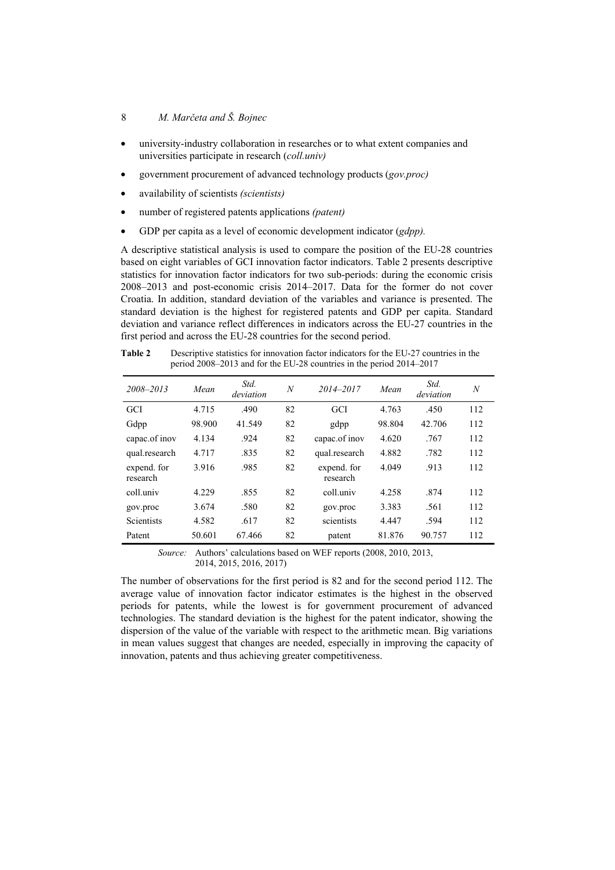## 8 *M. Marčeta and Š. Bojnec*

- university-industry collaboration in researches or to what extent companies and universities participate in research (*coll.univ)*
- government procurement of advanced technology products (*gov.proc)*
- availability of scientists *(scientists)*
- number of registered patents applications *(patent)*
- GDP per capita as a level of economic development indicator (*gdpp).*

A descriptive statistical analysis is used to compare the position of the EU-28 countries based on eight variables of GCI innovation factor indicators. Table 2 presents descriptive statistics for innovation factor indicators for two sub-periods: during the economic crisis 2008–2013 and post-economic crisis 2014–2017. Data for the former do not cover Croatia. In addition, standard deviation of the variables and variance is presented. The standard deviation is the highest for registered patents and GDP per capita. Standard deviation and variance reflect differences in indicators across the EU-27 countries in the first period and across the EU-28 countries for the second period.

**Table 2** Descriptive statistics for innovation factor indicators for the EU-27 countries in the period 2008–2013 and for the EU-28 countries in the period 2014–2017

| 2008-2013               | Mean   | Std.<br>deviation | $\boldsymbol{N}$ | 2014-2017               | Mean   | Std.<br>deviation | $\boldsymbol{N}$ |
|-------------------------|--------|-------------------|------------------|-------------------------|--------|-------------------|------------------|
| <b>GCI</b>              | 4.715  | .490              | 82               | <b>GCI</b>              | 4.763  | .450              | 112              |
| Gdpp                    | 98.900 | 41.549            | 82               | gdpp                    | 98.804 | 42.706            | 112              |
| capac.of inov           | 4.134  | .924              | 82               | capac.of inov           | 4.620  | .767              | 112              |
| qual.research           | 4.717  | .835              | 82               | qual.research           | 4.882  | .782              | 112              |
| expend. for<br>research | 3.916  | .985              | 82               | expend. for<br>research | 4.049  | .913              | 112              |
| coll.univ               | 4.229  | .855              | 82               | coll.univ               | 4.258  | .874              | 112              |
| gov.proc                | 3.674  | .580              | 82               | gov.proc                | 3.383  | .561              | 112              |
| <b>Scientists</b>       | 4.582  | .617              | 82               | scientists              | 4.447  | .594              | 112              |
| Patent                  | 50.601 | 67.466            | 82               | patent                  | 81.876 | 90.757            | 112              |

*Source:* Authors' calculations based on WEF reports (2008, 2010, 2013, 2014, 2015, 2016, 2017)

The number of observations for the first period is 82 and for the second period 112. The average value of innovation factor indicator estimates is the highest in the observed periods for patents, while the lowest is for government procurement of advanced technologies. The standard deviation is the highest for the patent indicator, showing the dispersion of the value of the variable with respect to the arithmetic mean. Big variations in mean values suggest that changes are needed, especially in improving the capacity of innovation, patents and thus achieving greater competitiveness.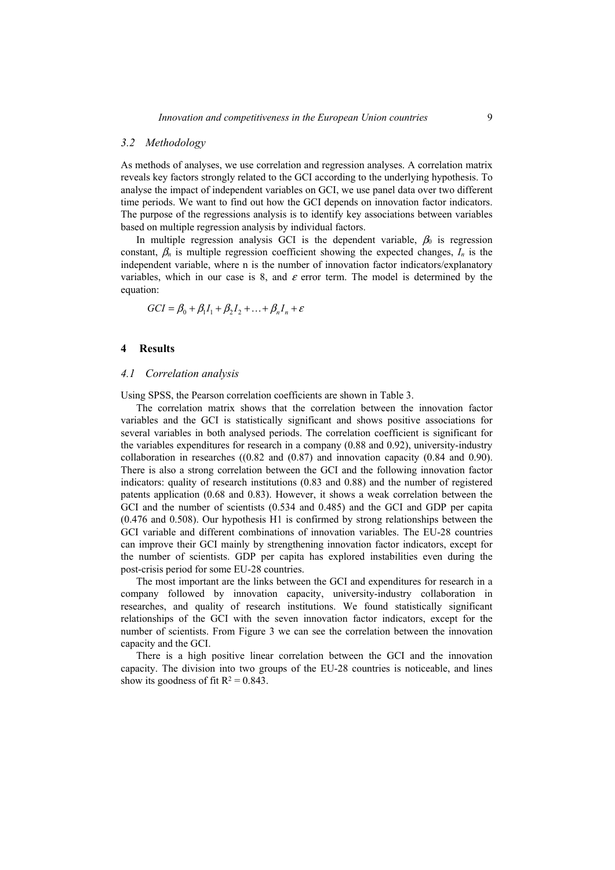## *3.2 Methodology*

As methods of analyses, we use correlation and regression analyses. A correlation matrix reveals key factors strongly related to the GCI according to the underlying hypothesis. To analyse the impact of independent variables on GCI, we use panel data over two different time periods. We want to find out how the GCI depends on innovation factor indicators. The purpose of the regressions analysis is to identify key associations between variables based on multiple regression analysis by individual factors.

In multiple regression analysis GCI is the dependent variable,  $\beta_0$  is regression constant,  $\beta_n$  is multiple regression coefficient showing the expected changes,  $I_n$  is the independent variable, where n is the number of innovation factor indicators/explanatory variables, which in our case is 8, and  $\varepsilon$  error term. The model is determined by the equation:

$$
GCI = \beta_0 + \beta_1 I_1 + \beta_2 I_2 + \dots + \beta_n I_n + \varepsilon
$$

#### **4 Results**

#### *4.1 Correlation analysis*

Using SPSS, the Pearson correlation coefficients are shown in Table 3.

The correlation matrix shows that the correlation between the innovation factor variables and the GCI is statistically significant and shows positive associations for several variables in both analysed periods. The correlation coefficient is significant for the variables expenditures for research in a company (0.88 and 0.92), university-industry collaboration in researches  $((0.82 \text{ and } (0.87) \text{ and innovation capacity } (0.84 \text{ and } 0.90)).$ There is also a strong correlation between the GCI and the following innovation factor indicators: quality of research institutions (0.83 and 0.88) and the number of registered patents application (0.68 and 0.83). However, it shows a weak correlation between the GCI and the number of scientists (0.534 and 0.485) and the GCI and GDP per capita (0.476 and 0.508). Our hypothesis H1 is confirmed by strong relationships between the GCI variable and different combinations of innovation variables. The EU-28 countries can improve their GCI mainly by strengthening innovation factor indicators, except for the number of scientists. GDP per capita has explored instabilities even during the post-crisis period for some EU-28 countries.

The most important are the links between the GCI and expenditures for research in a company followed by innovation capacity, university-industry collaboration in researches, and quality of research institutions. We found statistically significant relationships of the GCI with the seven innovation factor indicators, except for the number of scientists. From Figure 3 we can see the correlation between the innovation capacity and the GCI.

There is a high positive linear correlation between the GCI and the innovation capacity. The division into two groups of the EU-28 countries is noticeable, and lines show its goodness of fit  $R^2 = 0.843$ .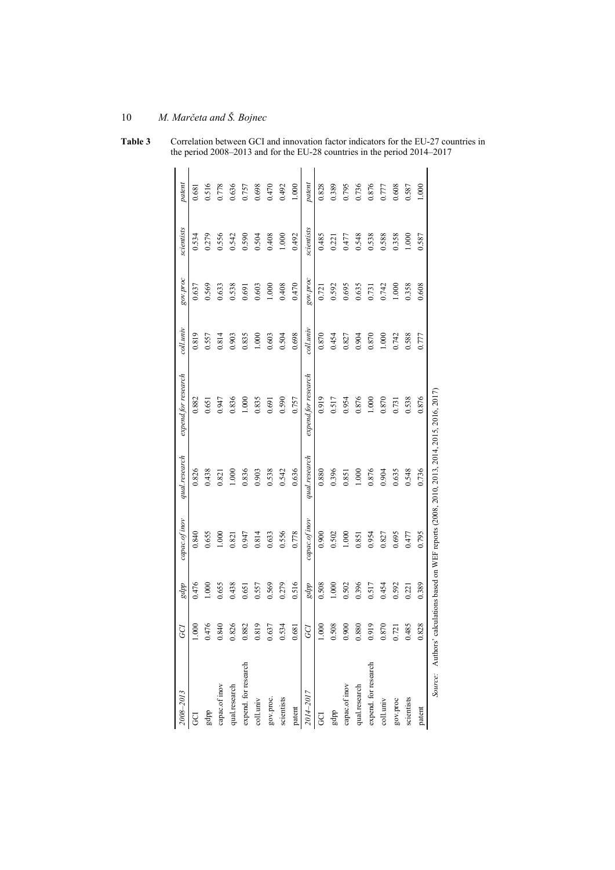|        |            |          |           |                     | lations based on WEF reports (2008, 2010, 2013, 2014, 2015, 2016, 2017) |               |       |       | Source: Authors' calcu |
|--------|------------|----------|-----------|---------------------|-------------------------------------------------------------------------|---------------|-------|-------|------------------------|
| 000.1  | 0.587      | 0.608    | 0.777     | 0.876               | 0.736                                                                   | 0.795         | 0.389 | 0.828 | patent                 |
| 0.587  | 1.000      | 0.358    | 0.588     | 0.538               | 0.548                                                                   | 0.477         | 0.221 | 0.485 | scientists             |
| 0.608  | 0.358      | 1.000    | 0.742     | 0.731               | 0.635                                                                   | 0.695         | 0.592 | 0.721 | gov.proc               |
| 0.777  | 0.588      | 0.742    | 1.000     | 0.870               | 0.904                                                                   | 0.827         | 0.454 | 0.870 | coll.univ              |
| 0.876  | 0.538      | 0.731    | 0.870     | 1.000               | 0.876                                                                   | 0.954         | 0.517 | 0.919 | expend. for research   |
| 0.736  | 0.548      | 0.635    | 0.904     | 0.876               | 1.000                                                                   | 0.851         | 0.396 | 0.880 | qual.research          |
| 0.795  | 0.477      | 0.695    | 0.827     | 0.954               | 0.851                                                                   | 1.000         | 0.502 | 0.900 | capac.of inov          |
| 0.389  | 0.221      | 0.592    | 0.454     | 0.517               | 0.396                                                                   | 0.502         | 1.000 | 0.508 | ddpa                   |
| 0.828  | 0.485      | 0.721    | $0.870\,$ | 0.919               | 0.880                                                                   | 0.900         | 0.508 | 1.000 |                        |
| patent | scientists | aon'nos  | coll.univ | expend.for research | qual.research                                                           | capac.of inov | gdpp  | GCI   | 2014-2017              |
| 1.000  | 0.492      | 0.470    | 0.698     | 0.757               | 0.636                                                                   | 0.778         | 0.516 | 0.681 | patent                 |
| 0.492  | 1.000      | 0.408    | 0.504     | 0.590               | 0.542                                                                   | 0.556         | 0.279 | 0.534 | scientists             |
| 0.470  | 0.408      | 1.000    | 0.603     | 0.691               | 0.538                                                                   | 0.633         | 0.569 | 0.637 | gov.proc.              |
| 0.698  | 0.504      | 0.603    | 1.000     | 0.835               | 0.903                                                                   | 0.814         | 0.557 | 0.819 | coll.univ              |
| 0.757  | 0.590      | 0.691    | 0.835     | 1.000               | 0.836                                                                   | 0.947         | 0.651 | 0.882 | expend. for research   |
| 0.636  | 0.542      | 0.538    | 0.903     | 0.836               | 0.001                                                                   | 0.821         | 0.438 | 0.826 | qual.research          |
| 0.778  | 0.556      | 0.633    | 0.814     | 0.947               | 0.821                                                                   | 1.000         | 0.655 | 0.840 | capac.of inov          |
| 0.516  | 0.279      | 0.569    | 0.557     | 0.651               | 0.438                                                                   | 0.655         | 000   | 0.476 | gdpp                   |
| 0.681  | 0.534      | 0.637    | 0.819     | 0.882               | 0.826                                                                   | 0.840         | 0.476 | 1.000 |                        |
| patent | scientists | gov.proc | coll.univ | expend.for research | qual.research                                                           | capac.of inov | gdpp  | GCI   | 2008-2013              |

**Table 3** Correlation between GCI and innovation factor indicators for the EU-27 countries in the period 2008–2013 and for the EU-28 countries in the period 2014–2017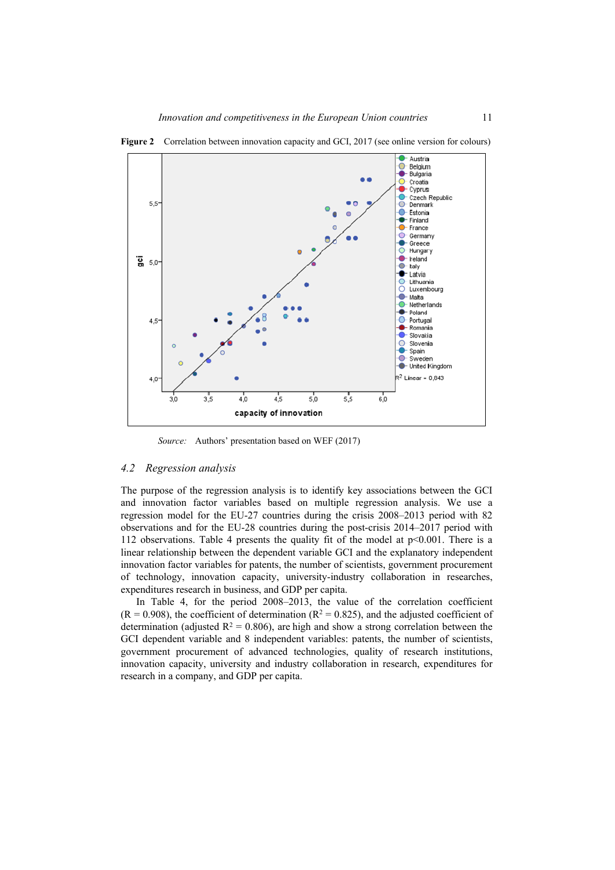

**Figure 2** Correlation between innovation capacity and GCI, 2017 (see online version for colours)

*Source:* Authors' presentation based on WEF (2017)

#### *4.2 Regression analysis*

The purpose of the regression analysis is to identify key associations between the GCI and innovation factor variables based on multiple regression analysis. We use a regression model for the EU-27 countries during the crisis 2008–2013 period with 82 observations and for the EU-28 countries during the post-crisis 2014–2017 period with 112 observations. Table 4 presents the quality fit of the model at  $p<0.001$ . There is a linear relationship between the dependent variable GCI and the explanatory independent innovation factor variables for patents, the number of scientists, government procurement of technology, innovation capacity, university-industry collaboration in researches, expenditures research in business, and GDP per capita.

In Table 4, for the period 2008–2013, the value of the correlation coefficient  $(R = 0.908)$ , the coefficient of determination  $(R^2 = 0.825)$ , and the adjusted coefficient of determination (adjusted  $R^2 = 0.806$ ), are high and show a strong correlation between the GCI dependent variable and 8 independent variables: patents, the number of scientists, government procurement of advanced technologies, quality of research institutions, innovation capacity, university and industry collaboration in research, expenditures for research in a company, and GDP per capita.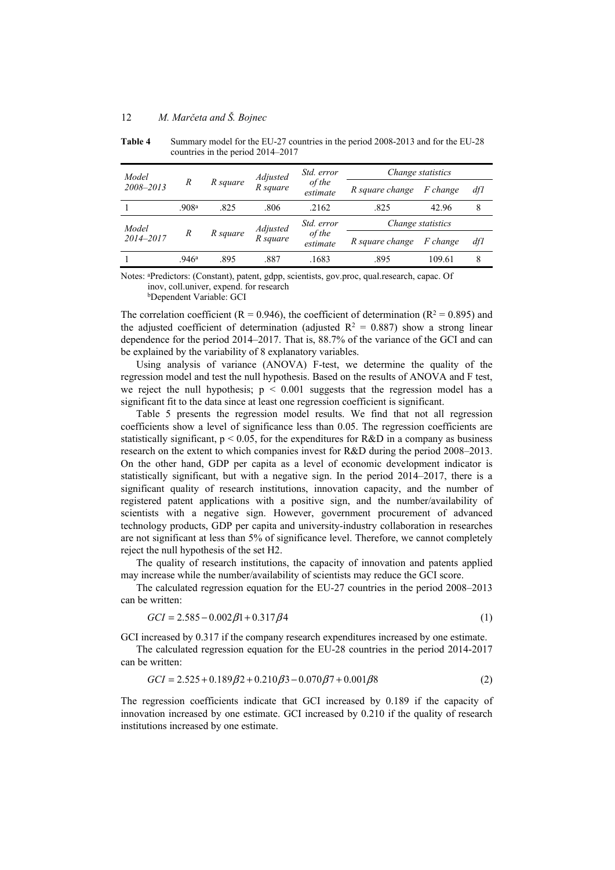| Model     |                   |          | Adjusted | Std. error         | Change statistics |                 |     |  |
|-----------|-------------------|----------|----------|--------------------|-------------------|-----------------|-----|--|
| 2008-2013 | R                 | R square | R square | of the<br>estimate | R square change   | <i>F</i> change | df1 |  |
|           | .908 <sup>a</sup> | .825     | .806     | .2162              | .825              | 42.96           | 8   |  |
| Model     |                   |          | Adjusted | Std. error         | Change statistics |                 |     |  |
| 2014-2017 | R                 | R square | R square | of the<br>estimate | R square change   | <i>F</i> change | dfl |  |
|           | .946a             | .895     | .887     | .1683              | .895              | 109.61          | 8   |  |

**Table 4** Summary model for the EU-27 countries in the period 2008-2013 and for the EU-28 countries in the period 2014–2017

Notes: aPredictors: (Constant), patent, gdpp, scientists, gov.proc, qual.research, capac. Of inov, coll.univer, expend. for research

bDependent Variable: GCI

The correlation coefficient ( $R = 0.946$ ), the coefficient of determination ( $R^2 = 0.895$ ) and the adjusted coefficient of determination (adjusted  $R^2 = 0.887$ ) show a strong linear dependence for the period 2014–2017. That is, 88.7% of the variance of the GCI and can be explained by the variability of 8 explanatory variables.

Using analysis of variance (ANOVA) F-test, we determine the quality of the regression model and test the null hypothesis. Based on the results of ANOVA and F test, we reject the null hypothesis;  $p < 0.001$  suggests that the regression model has a significant fit to the data since at least one regression coefficient is significant.

Table 5 presents the regression model results. We find that not all regression coefficients show a level of significance less than 0.05. The regression coefficients are statistically significant,  $p < 0.05$ , for the expenditures for R&D in a company as business research on the extent to which companies invest for R&D during the period 2008–2013. On the other hand, GDP per capita as a level of economic development indicator is statistically significant, but with a negative sign. In the period 2014–2017, there is a significant quality of research institutions, innovation capacity, and the number of registered patent applications with a positive sign, and the number/availability of scientists with a negative sign. However, government procurement of advanced technology products, GDP per capita and university-industry collaboration in researches are not significant at less than 5% of significance level. Therefore, we cannot completely reject the null hypothesis of the set H2.

The quality of research institutions, the capacity of innovation and patents applied may increase while the number/availability of scientists may reduce the GCI score.

The calculated regression equation for the EU-27 countries in the period 2008–2013 can be written:

$$
GCI = 2.585 - 0.002\beta 1 + 0.317\beta 4\tag{1}
$$

GCI increased by 0.317 if the company research expenditures increased by one estimate.

The calculated regression equation for the EU-28 countries in the period 2014-2017 can be written:

$$
GCI = 2.525 + 0.189\beta2 + 0.210\beta3 - 0.070\beta7 + 0.001\beta8
$$
\n(2)

The regression coefficients indicate that GCI increased by 0.189 if the capacity of innovation increased by one estimate. GCI increased by 0.210 if the quality of research institutions increased by one estimate.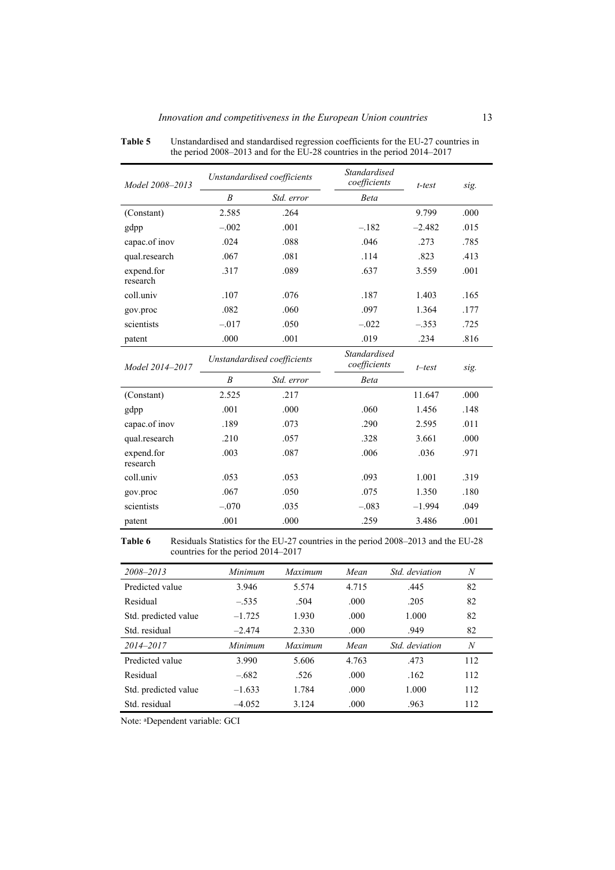| Model 2008-2013        |                             | Unstandardised coefficients | <b>Standardised</b><br>coefficients | t-test            | sig. |
|------------------------|-----------------------------|-----------------------------|-------------------------------------|-------------------|------|
|                        | $\boldsymbol{B}$            | Std. error                  | <b>Beta</b>                         |                   |      |
| (Constant)             | 2.585                       | .264                        |                                     | 9.799             | .000 |
| gdpp                   | $-.002$                     | .001                        | $-.182$                             | $-2.482$          | .015 |
| capac.of inov          | .024                        | .088                        | .046                                | .273              | .785 |
| qual.research          | .067                        | .081                        | .114                                | .823              | .413 |
| expend.for<br>research | .317                        | .089                        | .637                                | 3.559             | .001 |
| coll.univ              | .107                        | .076                        | .187                                | 1.403             | .165 |
| gov.proc               | .082                        | .060                        | .097                                | 1.364             | .177 |
| scientists             | $-.017$                     | .050                        | $-.022$                             | $-.353$           | .725 |
| patent                 | .000                        | .001                        | .019                                | .234              | .816 |
| Model 2014-2017        | Unstandardised coefficients |                             | <b>Standardised</b><br>coefficients | $t$ -test<br>sig. |      |
|                        | $\boldsymbol{B}$            | Std. error                  | <b>Beta</b>                         |                   |      |
| (Constant)             | 2.525                       | .217                        |                                     | 11.647            | .000 |
| gdpp                   | .001                        | .000                        | .060                                | 1.456             | .148 |
| capac.of inov          | .189                        | .073                        | .290                                | 2.595             | .011 |
| qual.research          | .210                        | .057                        | .328                                | 3.661             | .000 |
| expend.for<br>research | .003                        | .087                        | .006                                | .036              | .971 |
| coll.univ              | .053                        | .053                        | .093                                | 1.001             | .319 |
| gov.proc               | .067                        | .050                        | .075                                | 1.350             | .180 |
| scientists             | $-.070$                     | .035                        | $-.083$                             | $-1.994$          | .049 |
| patent                 | .001                        | .000                        | .259                                | 3.486             | .001 |

**Table 5** Unstandardised and standardised regression coefficients for the EU-27 countries in the period 2008–2013 and for the EU-28 countries in the period 2014–2017

**Table 6** Residuals Statistics for the EU-27 countries in the period 2008–2013 and the EU-28 countries for the period 2014–2017

| 2008-2013            | Minimum  | <b>Maximum</b> | Mean  | Std. deviation | $\boldsymbol{N}$ |
|----------------------|----------|----------------|-------|----------------|------------------|
| Predicted value      | 3.946    | 5.574          | 4.715 | .445           | 82               |
| Residual             | $-.535$  | .504           | .000. | .205           | 82               |
| Std. predicted value | $-1.725$ | 1.930          | .000  | 1.000          | 82               |
| Std. residual        | $-2.474$ | 2.330          | .000  | .949           | 82               |
| 2014-2017            | Minimum  | Maximum        | Mean  | Std deviation  | $\boldsymbol{N}$ |
| Predicted value      | 3.990    | 5.606          | 4.763 | .473           | 112              |
| Residual             | $-.682$  | .526           | .000  | .162           | 112              |
| Std. predicted value | $-1.633$ | 1.784          | .000  | 1.000          | 112              |
| Std. residual        | $-4.052$ | 3.124          | .000  | .963           | 112              |

Note: aDependent variable: GCI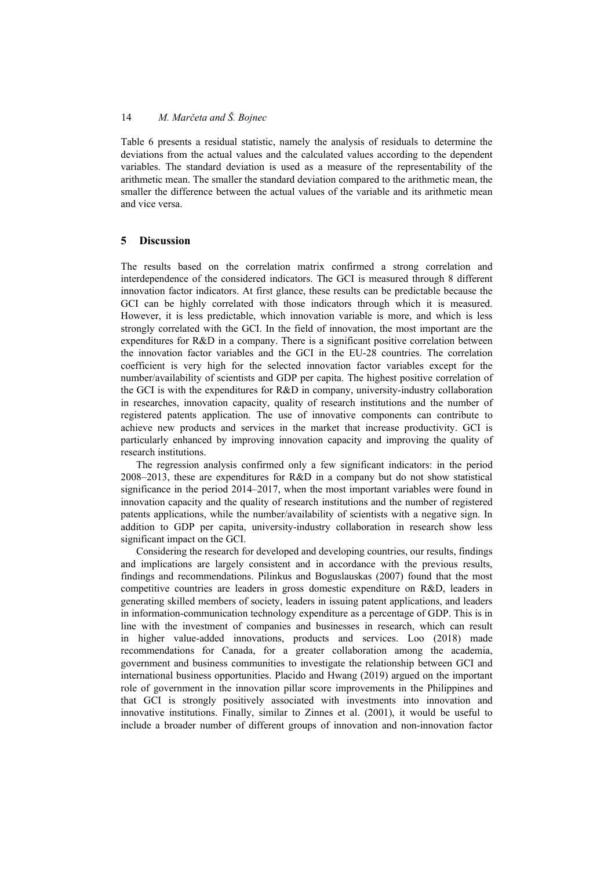Table 6 presents a residual statistic, namely the analysis of residuals to determine the deviations from the actual values and the calculated values according to the dependent variables. The standard deviation is used as a measure of the representability of the arithmetic mean. The smaller the standard deviation compared to the arithmetic mean, the smaller the difference between the actual values of the variable and its arithmetic mean and vice versa.

## **5 Discussion**

The results based on the correlation matrix confirmed a strong correlation and interdependence of the considered indicators. The GCI is measured through 8 different innovation factor indicators. At first glance, these results can be predictable because the GCI can be highly correlated with those indicators through which it is measured. However, it is less predictable, which innovation variable is more, and which is less strongly correlated with the GCI. In the field of innovation, the most important are the expenditures for R&D in a company. There is a significant positive correlation between the innovation factor variables and the GCI in the EU-28 countries. The correlation coefficient is very high for the selected innovation factor variables except for the number/availability of scientists and GDP per capita. The highest positive correlation of the GCI is with the expenditures for R&D in company, university-industry collaboration in researches, innovation capacity, quality of research institutions and the number of registered patents application. The use of innovative components can contribute to achieve new products and services in the market that increase productivity. GCI is particularly enhanced by improving innovation capacity and improving the quality of research institutions.

The regression analysis confirmed only a few significant indicators: in the period 2008–2013, these are expenditures for R&D in a company but do not show statistical significance in the period 2014–2017, when the most important variables were found in innovation capacity and the quality of research institutions and the number of registered patents applications, while the number/availability of scientists with a negative sign. In addition to GDP per capita, university-industry collaboration in research show less significant impact on the GCI.

Considering the research for developed and developing countries, our results, findings and implications are largely consistent and in accordance with the previous results, findings and recommendations. Pilinkus and Boguslauskas (2007) found that the most competitive countries are leaders in gross domestic expenditure on R&D, leaders in generating skilled members of society, leaders in issuing patent applications, and leaders in information-communication technology expenditure as a percentage of GDP. This is in line with the investment of companies and businesses in research, which can result in higher value-added innovations, products and services. Loo (2018) made recommendations for Canada, for a greater collaboration among the academia, government and business communities to investigate the relationship between GCI and international business opportunities. Placido and Hwang (2019) argued on the important role of government in the innovation pillar score improvements in the Philippines and that GCI is strongly positively associated with investments into innovation and innovative institutions. Finally, similar to Zinnes et al. (2001), it would be useful to include a broader number of different groups of innovation and non-innovation factor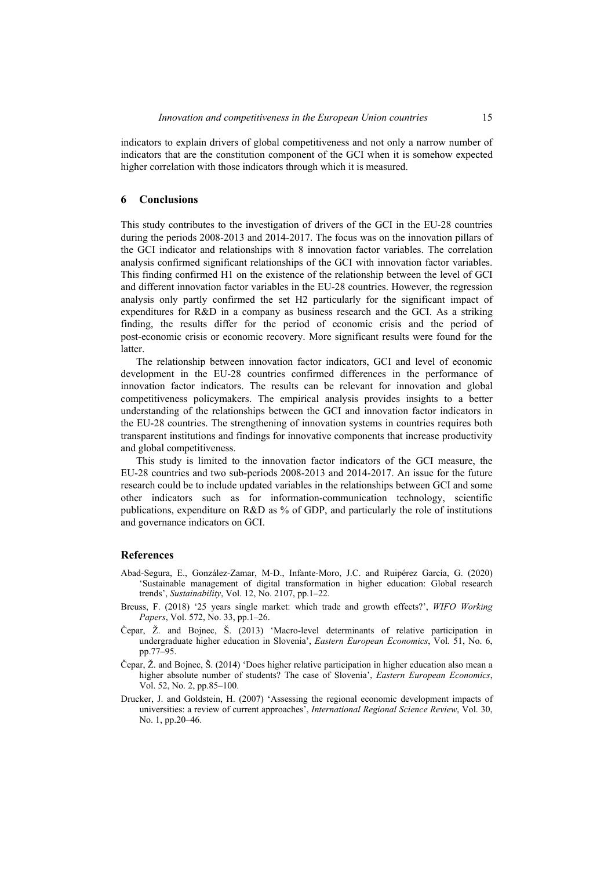indicators to explain drivers of global competitiveness and not only a narrow number of indicators that are the constitution component of the GCI when it is somehow expected higher correlation with those indicators through which it is measured.

#### **6 Conclusions**

This study contributes to the investigation of drivers of the GCI in the EU-28 countries during the periods 2008-2013 and 2014-2017. The focus was on the innovation pillars of the GCI indicator and relationships with 8 innovation factor variables. The correlation analysis confirmed significant relationships of the GCI with innovation factor variables. This finding confirmed H1 on the existence of the relationship between the level of GCI and different innovation factor variables in the EU-28 countries. However, the regression analysis only partly confirmed the set H2 particularly for the significant impact of expenditures for R&D in a company as business research and the GCI. As a striking finding, the results differ for the period of economic crisis and the period of post-economic crisis or economic recovery. More significant results were found for the latter.

The relationship between innovation factor indicators, GCI and level of economic development in the EU-28 countries confirmed differences in the performance of innovation factor indicators. The results can be relevant for innovation and global competitiveness policymakers. The empirical analysis provides insights to a better understanding of the relationships between the GCI and innovation factor indicators in the EU-28 countries. The strengthening of innovation systems in countries requires both transparent institutions and findings for innovative components that increase productivity and global competitiveness.

This study is limited to the innovation factor indicators of the GCI measure, the EU-28 countries and two sub-periods 2008-2013 and 2014-2017. An issue for the future research could be to include updated variables in the relationships between GCI and some other indicators such as for information-communication technology, scientific publications, expenditure on R&D as % of GDP, and particularly the role of institutions and governance indicators on GCI.

#### **References**

- Abad-Segura, E., González-Zamar, M-D., Infante-Moro, J.C. and Ruipérez García, G. (2020) 'Sustainable management of digital transformation in higher education: Global research trends', *Sustainability*, Vol. 12, No. 2107, pp.1–22.
- Breuss, F. (2018) '25 years single market: which trade and growth effects?', *WIFO Working Papers*, Vol. 572, No. 33, pp.1–26.
- Čepar, Ž. and Bojnec, Š. (2013) 'Macro-level determinants of relative participation in undergraduate higher education in Slovenia', *Eastern European Economics*, Vol. 51, No. 6, pp.77–95.
- Čepar, Ž. and Bojnec, Š. (2014) 'Does higher relative participation in higher education also mean a higher absolute number of students? The case of Slovenia', *Eastern European Economics*, Vol. 52, No. 2, pp.85–100.
- Drucker, J. and Goldstein, H. (2007) 'Assessing the regional economic development impacts of universities: a review of current approaches', *International Regional Science Review*, Vol. 30, No. 1, pp.20*–*46.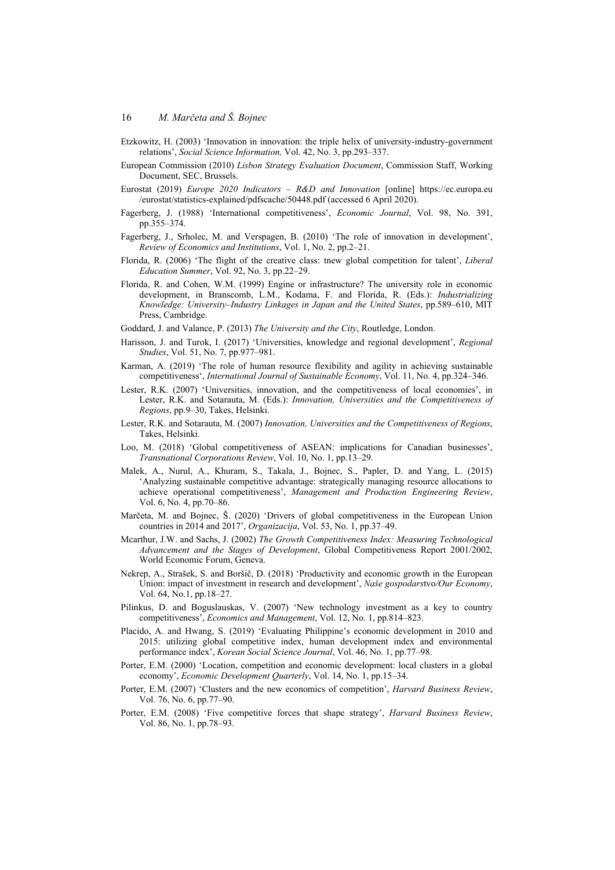- Etzkowitz, H. (2003) 'Innovation in innovation: the triple helix of university-industry-government relations', *Social Science Information,* Vol. 42, No. 3, pp.293–337.
- European Commission (2010) *Lisbon Strategy Evaluation Document*, Commission Staff, Working Document, SEC, Brussels.
- Eurostat (2019) *Europe 2020 Indicators R&D and Innovation* [online] https://ec.europa.eu /eurostat/statistics-explained/pdfscache/50448.pdf (accessed 6 April 2020).
- Fagerberg, J. (1988) 'International competitiveness', *Economic Journal*, Vol. 98, No. 391, pp.355–374.
- Fagerberg, J., Srholec, M. and Verspagen, B. (2010) 'The role of innovation in development', *Review of Economics and Institutions*, Vol. 1, No. 2, pp.2*–*21.
- Florida, R. (2006) 'The flight of the creative class: tnew global competition for talent', *Liberal Education Summer*, Vol. 92, No. 3, pp.22*–*29.
- Florida, R. and Cohen, W.M. (1999) Engine or infrastructure? The university role in economic development, in Branscomb, L.M., Kodama, F. and Florida, R. (Eds.): *Industrializing Knowledge: University–Industry Linkages in Japan and the United States*, pp.589–610, MIT Press, Cambridge.
- Goddard, J. and Valance, P. (2013) *The University and the City*, Routledge, London.
- Harisson, J. and Turok, I. (2017) 'Universities, knowledge and regional development', *Regional Studies*, Vol. 51, No. 7, pp.977–981.
- Karman, A. (2019) 'The role of human resource flexibility and agility in achieving sustainable competitiveness', *International Journal of Sustainable Economy*, Vol. 11, No. 4, pp.324–346.
- Lester, R.K. (2007) 'Universities, innovation, and the competitiveness of local economies', in Lester, R.K. and Sotarauta, M. (Eds.): *Innovation, Universities and the Competitiveness of Regions*, pp.9–30, Takes, Helsinki.
- Lester, R.K. and Sotarauta, M. (2007) *Innovation, Universities and the Competitiveness of Regions*, Takes, Helsinki.
- Loo, M. (2018) 'Global competitiveness of ASEAN: implications for Canadian businesses', *Transnational Corporations Review*, Vol. 10, No. 1, pp.13–29.
- Malek, A., Nurul, A., Khuram, S., Takala, J., Bojnec, S., Papler, D. and Yang, L. (2015) 'Analyzing sustainable competitive advantage: strategically managing resource allocations to achieve operational competitiveness', *Management and Production Engineering Review*, Vol. 6, No. 4, pp.70–86.
- Marčeta, M. and Bojnec, Š. (2020) 'Drivers of global competitiveness in the European Union countries in 2014 and 2017', *Organizacija*, Vol. 53, No. 1, pp.37–49.
- Mcarthur, J.W. and Sachs, J. (2002) *The Growth Competitiveness Index: Measuring Technological Advancement and the Stages of Development*, Global Competitiveness Report 2001/2002, World Economic Forum, Geneva.
- Nekrep, A., Strašek, S. and Boršič, D. (2018) 'Productivity and economic growth in the European Union: impact of investment in research and development', *Naše gospodars*tvo*/Our Economy*, Vol. 64, No.1, pp.18–27.
- Pilinkus, D. and Boguslauskas, V. (2007) 'New technology investment as a key to country competitiveness', *Economics and Management*, Vol. 12, No. 1, pp.814–823.
- Placido, A. and Hwang, S. (2019) 'Evaluating Philippine's economic development in 2010 and 2015: utilizing global competitive index, human development index and environmental performance index', *Korean Social Science Journal*, Vol. 46, No. 1, pp.77–98.
- Porter, E.M. (2000) 'Location, competition and economic development: local clusters in a global economy', *Economic Development Quarterly*, Vol. 14, No. 1, pp.15–34.
- Porter, E.M. (2007) 'Clusters and the new economics of competition', *Harvard Business Review*, Vol. 76, No. 6, pp.77–90.
- Porter, E.M. (2008) 'Five competitive forces that shape strategy', *Harvard Business Review*, Vol. 86, No. 1, pp.78–93.